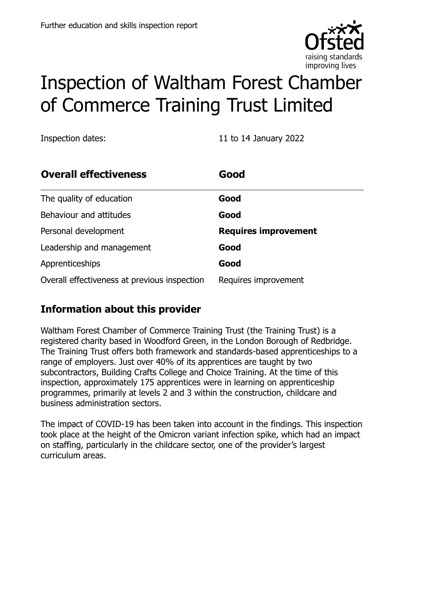

# Inspection of Waltham Forest Chamber of Commerce Training Trust Limited

Inspection dates: 11 to 14 January 2022

| <b>Overall effectiveness</b>                 | Good                        |
|----------------------------------------------|-----------------------------|
| The quality of education                     | Good                        |
| Behaviour and attitudes                      | Good                        |
| Personal development                         | <b>Requires improvement</b> |
| Leadership and management                    | Good                        |
| Apprenticeships                              | Good                        |
| Overall effectiveness at previous inspection | Requires improvement        |

# **Information about this provider**

Waltham Forest Chamber of Commerce Training Trust (the Training Trust) is a registered charity based in Woodford Green, in the London Borough of Redbridge. The Training Trust offers both framework and standards-based apprenticeships to a range of employers. Just over 40% of its apprentices are taught by two subcontractors, Building Crafts College and Choice Training. At the time of this inspection, approximately 175 apprentices were in learning on apprenticeship programmes, primarily at levels 2 and 3 within the construction, childcare and business administration sectors.

The impact of COVID-19 has been taken into account in the findings. This inspection took place at the height of the Omicron variant infection spike, which had an impact on staffing, particularly in the childcare sector, one of the provider's largest curriculum areas.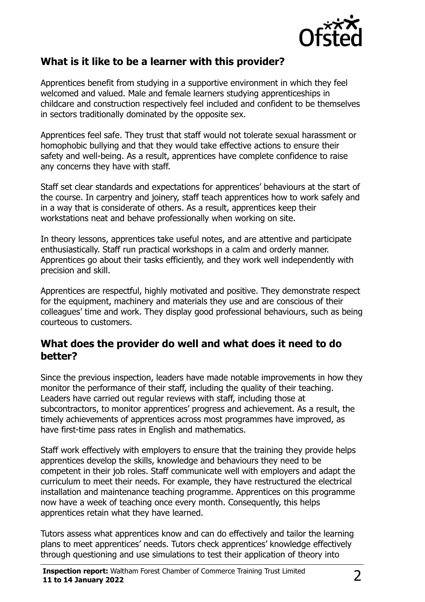

### **What is it like to be a learner with this provider?**

Apprentices benefit from studying in a supportive environment in which they feel welcomed and valued. Male and female learners studying apprenticeships in childcare and construction respectively feel included and confident to be themselves in sectors traditionally dominated by the opposite sex.

Apprentices feel safe. They trust that staff would not tolerate sexual harassment or homophobic bullying and that they would take effective actions to ensure their safety and well-being. As a result, apprentices have complete confidence to raise any concerns they have with staff.

Staff set clear standards and expectations for apprentices' behaviours at the start of the course. In carpentry and joinery, staff teach apprentices how to work safely and in a way that is considerate of others. As a result, apprentices keep their workstations neat and behave professionally when working on site.

In theory lessons, apprentices take useful notes, and are attentive and participate enthusiastically. Staff run practical workshops in a calm and orderly manner. Apprentices go about their tasks efficiently, and they work well independently with precision and skill.

Apprentices are respectful, highly motivated and positive. They demonstrate respect for the equipment, machinery and materials they use and are conscious of their colleagues' time and work. They display good professional behaviours, such as being courteous to customers.

#### **What does the provider do well and what does it need to do better?**

Since the previous inspection, leaders have made notable improvements in how they monitor the performance of their staff, including the quality of their teaching. Leaders have carried out regular reviews with staff, including those at subcontractors, to monitor apprentices' progress and achievement. As a result, the timely achievements of apprentices across most programmes have improved, as have first-time pass rates in English and mathematics.

Staff work effectively with employers to ensure that the training they provide helps apprentices develop the skills, knowledge and behaviours they need to be competent in their job roles. Staff communicate well with employers and adapt the curriculum to meet their needs. For example, they have restructured the electrical installation and maintenance teaching programme. Apprentices on this programme now have a week of teaching once every month. Consequently, this helps apprentices retain what they have learned.

Tutors assess what apprentices know and can do effectively and tailor the learning plans to meet apprentices' needs. Tutors check apprentices' knowledge effectively through questioning and use simulations to test their application of theory into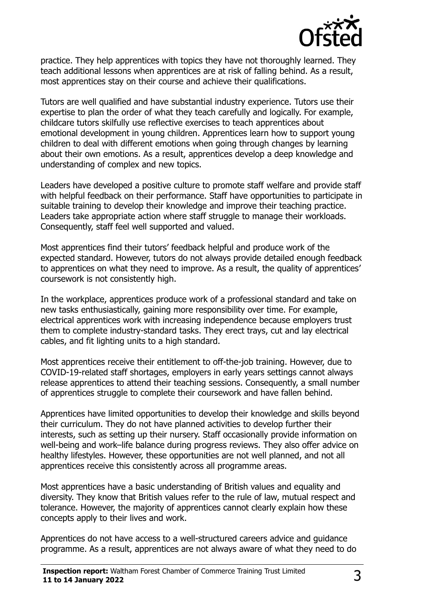

practice. They help apprentices with topics they have not thoroughly learned. They teach additional lessons when apprentices are at risk of falling behind. As a result, most apprentices stay on their course and achieve their qualifications.

Tutors are well qualified and have substantial industry experience. Tutors use their expertise to plan the order of what they teach carefully and logically. For example, childcare tutors skilfully use reflective exercises to teach apprentices about emotional development in young children. Apprentices learn how to support young children to deal with different emotions when going through changes by learning about their own emotions. As a result, apprentices develop a deep knowledge and understanding of complex and new topics.

Leaders have developed a positive culture to promote staff welfare and provide staff with helpful feedback on their performance. Staff have opportunities to participate in suitable training to develop their knowledge and improve their teaching practice. Leaders take appropriate action where staff struggle to manage their workloads. Consequently, staff feel well supported and valued.

Most apprentices find their tutors' feedback helpful and produce work of the expected standard. However, tutors do not always provide detailed enough feedback to apprentices on what they need to improve. As a result, the quality of apprentices' coursework is not consistently high.

In the workplace, apprentices produce work of a professional standard and take on new tasks enthusiastically, gaining more responsibility over time. For example, electrical apprentices work with increasing independence because employers trust them to complete industry-standard tasks. They erect trays, cut and lay electrical cables, and fit lighting units to a high standard.

Most apprentices receive their entitlement to off-the-job training. However, due to COVID-19-related staff shortages, employers in early years settings cannot always release apprentices to attend their teaching sessions. Consequently, a small number of apprentices struggle to complete their coursework and have fallen behind.

Apprentices have limited opportunities to develop their knowledge and skills beyond their curriculum. They do not have planned activities to develop further their interests, such as setting up their nursery. Staff occasionally provide information on well-being and work–life balance during progress reviews. They also offer advice on healthy lifestyles. However, these opportunities are not well planned, and not all apprentices receive this consistently across all programme areas.

Most apprentices have a basic understanding of British values and equality and diversity. They know that British values refer to the rule of law, mutual respect and tolerance. However, the majority of apprentices cannot clearly explain how these concepts apply to their lives and work.

Apprentices do not have access to a well-structured careers advice and guidance programme. As a result, apprentices are not always aware of what they need to do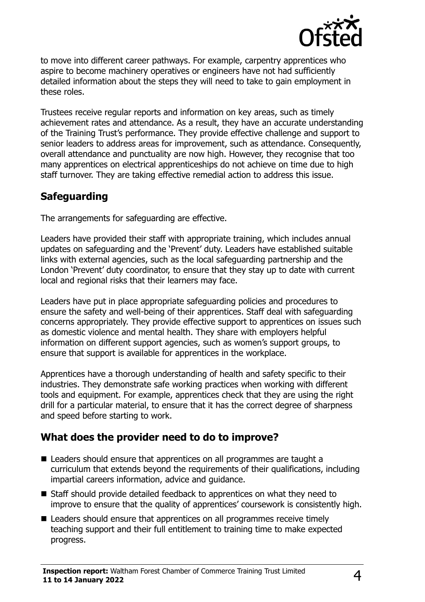

to move into different career pathways. For example, carpentry apprentices who aspire to become machinery operatives or engineers have not had sufficiently detailed information about the steps they will need to take to gain employment in these roles.

Trustees receive regular reports and information on key areas, such as timely achievement rates and attendance. As a result, they have an accurate understanding of the Training Trust's performance. They provide effective challenge and support to senior leaders to address areas for improvement, such as attendance. Consequently, overall attendance and punctuality are now high. However, they recognise that too many apprentices on electrical apprenticeships do not achieve on time due to high staff turnover. They are taking effective remedial action to address this issue.

# **Safeguarding**

The arrangements for safeguarding are effective.

Leaders have provided their staff with appropriate training, which includes annual updates on safeguarding and the 'Prevent' duty. Leaders have established suitable links with external agencies, such as the local safeguarding partnership and the London 'Prevent' duty coordinator, to ensure that they stay up to date with current local and regional risks that their learners may face.

Leaders have put in place appropriate safeguarding policies and procedures to ensure the safety and well-being of their apprentices. Staff deal with safeguarding concerns appropriately. They provide effective support to apprentices on issues such as domestic violence and mental health. They share with employers helpful information on different support agencies, such as women's support groups, to ensure that support is available for apprentices in the workplace.

Apprentices have a thorough understanding of health and safety specific to their industries. They demonstrate safe working practices when working with different tools and equipment. For example, apprentices check that they are using the right drill for a particular material, to ensure that it has the correct degree of sharpness and speed before starting to work.

### **What does the provider need to do to improve?**

- Leaders should ensure that apprentices on all programmes are taught a curriculum that extends beyond the requirements of their qualifications, including impartial careers information, advice and guidance.
- Staff should provide detailed feedback to apprentices on what they need to improve to ensure that the quality of apprentices' coursework is consistently high.
- Leaders should ensure that apprentices on all programmes receive timely teaching support and their full entitlement to training time to make expected progress.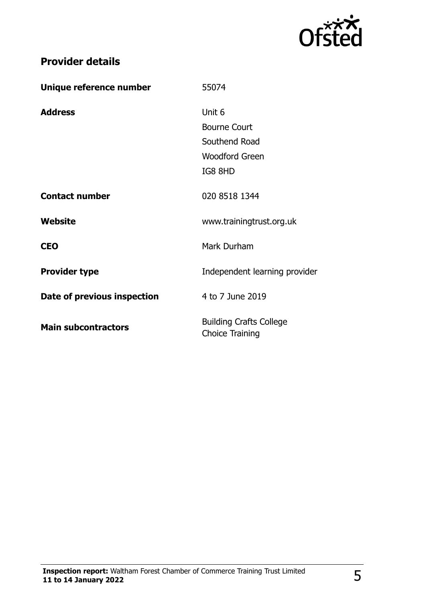

# **Provider details**

| Unique reference number     | 55074                                                    |
|-----------------------------|----------------------------------------------------------|
| <b>Address</b>              | Unit 6                                                   |
|                             | <b>Bourne Court</b>                                      |
|                             | Southend Road                                            |
|                             | <b>Woodford Green</b>                                    |
|                             | IG8 8HD                                                  |
| <b>Contact number</b>       | 020 8518 1344                                            |
| Website                     | www.trainingtrust.org.uk                                 |
| <b>CEO</b>                  | Mark Durham                                              |
| <b>Provider type</b>        | Independent learning provider                            |
| Date of previous inspection | 4 to 7 June 2019                                         |
| <b>Main subcontractors</b>  | <b>Building Crafts College</b><br><b>Choice Training</b> |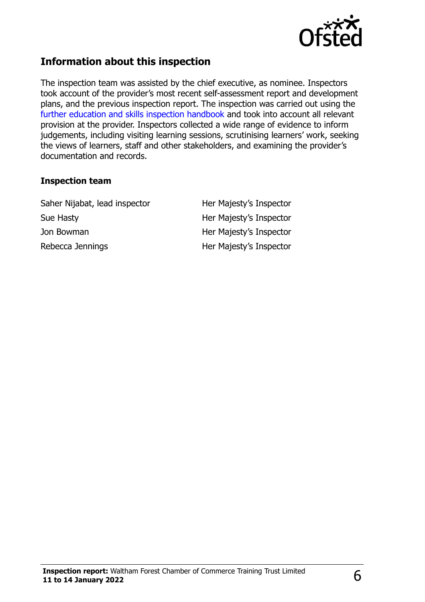

## **Information about this inspection**

The inspection team was assisted by the chief executive, as nominee. Inspectors took account of the provider's most recent self-assessment report and development plans, and the previous inspection report. The inspection was carried out using the [further education and skills inspection handbook](http://www.gov.uk/government/publications/further-education-and-skills-inspection-handbook-eif) and took into account all relevant provision at the provider. Inspectors collected a wide range of evidence to inform judgements, including visiting learning sessions, scrutinising learners' work, seeking the views of learners, staff and other stakeholders, and examining the provider's documentation and records.

#### **Inspection team**

Saher Nijabat, lead inspector **Her Majesty's Inspector** Sue Hasty **Her Majesty's Inspector** Jon Bowman **Her Majesty's Inspector** Rebecca Jennings **Her Majesty's Inspector**